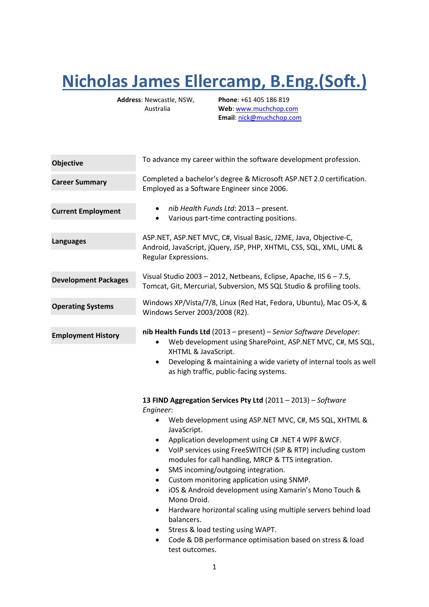## **Nicholas James Ellercamp, B.Eng.(Soft.)**

**Address**: Newcastle, NSW, Australia

**Phone**: +61 405 186 819 **Web**[: www.muchchop.com](http://www.muchchop.com/) **Email**: [nick@muchchop.com](mailto:nick@muchchop.com)

| Objective                   | To advance my career within the software development profession.                                                                                                                                                                                                                                                                                                                                                                                                                                                                                                                                                                                                                                                |
|-----------------------------|-----------------------------------------------------------------------------------------------------------------------------------------------------------------------------------------------------------------------------------------------------------------------------------------------------------------------------------------------------------------------------------------------------------------------------------------------------------------------------------------------------------------------------------------------------------------------------------------------------------------------------------------------------------------------------------------------------------------|
| <b>Career Summary</b>       | Completed a bachelor's degree & Microsoft ASP.NET 2.0 certification.<br>Employed as a Software Engineer since 2006.                                                                                                                                                                                                                                                                                                                                                                                                                                                                                                                                                                                             |
| <b>Current Employment</b>   | nib Health Funds Ltd: 2013 - present.<br>٠<br>Various part-time contracting positions.<br>٠                                                                                                                                                                                                                                                                                                                                                                                                                                                                                                                                                                                                                     |
| <b>Languages</b>            | ASP.NET, ASP.NET MVC, C#, Visual Basic, J2ME, Java, Objective-C,<br>Android, JavaScript, jQuery, JSP, PHP, XHTML, CSS, SQL, XML, UML &<br>Regular Expressions.                                                                                                                                                                                                                                                                                                                                                                                                                                                                                                                                                  |
| <b>Development Packages</b> | Visual Studio 2003 - 2012, Netbeans, Eclipse, Apache, IIS 6 - 7.5,<br>Tomcat, Git, Mercurial, Subversion, MS SQL Studio & profiling tools.                                                                                                                                                                                                                                                                                                                                                                                                                                                                                                                                                                      |
| <b>Operating Systems</b>    | Windows XP/Vista/7/8, Linux (Red Hat, Fedora, Ubuntu), Mac OS-X, &<br>Windows Server 2003/2008 (R2).                                                                                                                                                                                                                                                                                                                                                                                                                                                                                                                                                                                                            |
| <b>Employment History</b>   | nib Health Funds Ltd (2013 - present) - Senior Software Developer:<br>Web development using SharePoint, ASP.NET MVC, C#, MS SQL,<br>XHTML & JavaScript.<br>Developing & maintaining a wide variety of internal tools as well<br>$\bullet$<br>as high traffic, public-facing systems.                                                                                                                                                                                                                                                                                                                                                                                                                            |
|                             | 13 FIND Aggregation Services Pty Ltd (2011 - 2013) - Software<br>Engineer:<br>Web development using ASP.NET MVC, C#, MS SQL, XHTML &<br>$\bullet$<br>JavaScript.<br>Application development using C# .NET 4 WPF &WCF.<br>VoIP services using FreeSWITCH (SIP & RTP) including custom<br>٠<br>modules for call handling, MRCP & TTS integration.<br>SMS incoming/outgoing integration.<br>Custom monitoring application using SNMP.<br>iOS & Android development using Xamarin's Mono Touch &<br>Mono Droid.<br>Hardware horizontal scaling using multiple servers behind load<br>balancers.<br>Stress & load testing using WAPT.<br>Code & DB performance optimisation based on stress & load<br>test outcomes. |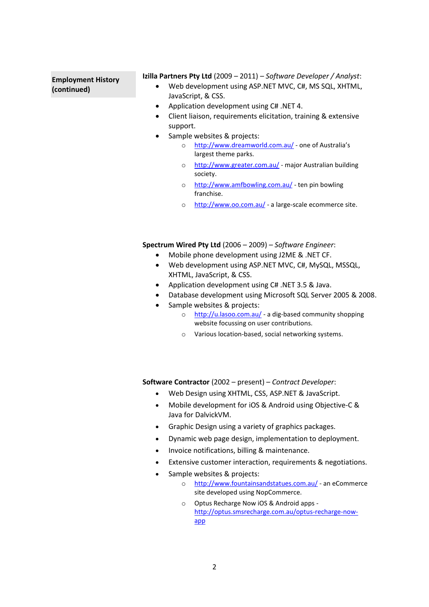## **Employment History (continued)**

**Izilla Partners Pty Ltd** (2009 – 2011) *– Software Developer / Analyst*:

- Web development using ASP.NET MVC, C#, MS SQL, XHTML, JavaScript, & CSS.
- Application development using C# .NET 4.
- Client liaison, requirements elicitation, training & extensive support.
- Sample websites & projects:
	- o <http://www.dreamworld.com.au/> one of Australia's largest theme parks.
	- o <http://www.greater.com.au/> major Australian building society.
	- o <http://www.amfbowling.com.au/> ten pin bowling franchise.
	- o <http://www.oo.com.au/> a large-scale ecommerce site.

**Spectrum Wired Pty Ltd** (2006 – 2009) *– Software Engineer*:

- Mobile phone development using J2ME & .NET CF.
- Web development using ASP.NET MVC, C#, MySQL, MSSQL, XHTML, JavaScript, & CSS.
- Application development using C# .NET 3.5 & Java.
- Database development using Microsoft SQL Server 2005 & 2008.
- Sample websites & projects:
	- o <http://u.lasoo.com.au/> a dig-based community shopping website focussing on user contributions.
	- o Various location-based, social networking systems.

**Software Contractor** (2002 – present) – *Contract Developer*:

- Web Design using XHTML, CSS, ASP.NET & JavaScript.
- Mobile development for iOS & Android using Objective-C & Java for DalvickVM.
- Graphic Design using a variety of graphics packages.
- Dynamic web page design, implementation to deployment.
- Invoice notifications, billing & maintenance.
- Extensive customer interaction, requirements & negotiations.
- Sample websites & projects:
	- o <http://www.fountainsandstatues.com.au/> an eCommerce site developed using NopCommerce.
	- o Optus Recharge Now iOS & Android apps [http://optus.smsrecharge.com.au/optus-recharge-now](http://optus.smsrecharge.com.au/optus-recharge-now-app)[app](http://optus.smsrecharge.com.au/optus-recharge-now-app)